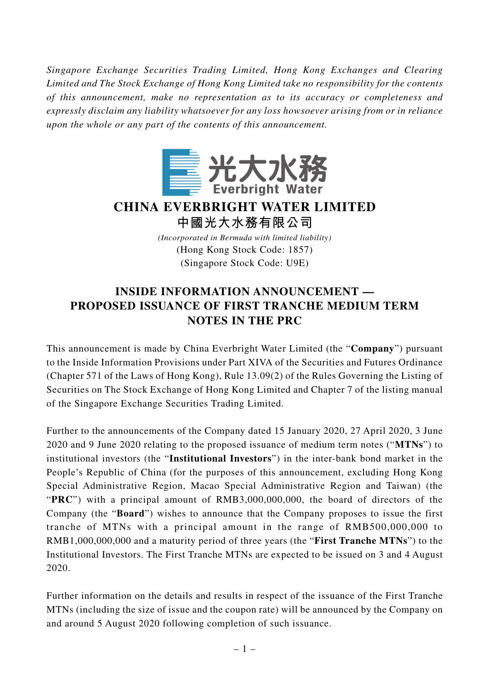*Singapore Exchange Securities Trading Limited, Hong Kong Exchanges and Clearing Limited and The Stock Exchange of Hong Kong Limited take no responsibility for the contents of this announcement, make no representation as to its accuracy or completeness and expressly disclaim any liability whatsoever for any loss howsoever arising from or in reliance upon the whole or any part of the contents of this announcement.*



## **CHINA EVERBRIGHT WATER LIMITED 中國光大水務有限公司**

*(Incorporated in Bermuda with limited liability)* (Hong Kong Stock Code: 1857) (Singapore Stock Code: U9E)

## **INSIDE INFORMATION ANNOUNCEMENT — PROPOSED ISSUANCE OF FIRST TRANCHE MEDIUM TERM NOTES IN THE PRC**

This announcement is made by China Everbright Water Limited (the "**Company**") pursuant to the Inside Information Provisions under Part XIVA of the Securities and Futures Ordinance (Chapter 571 of the Laws of Hong Kong), Rule 13.09(2) of the Rules Governing the Listing of Securities on The Stock Exchange of Hong Kong Limited and Chapter 7 of the listing manual of the Singapore Exchange Securities Trading Limited.

Further to the announcements of the Company dated 15 January 2020, 27 April 2020, 3 June 2020 and 9 June 2020 relating to the proposed issuance of medium term notes ("**MTNs**") to institutional investors (the "**Institutional Investors**") in the inter-bank bond market in the People's Republic of China (for the purposes of this announcement, excluding Hong Kong Special Administrative Region, Macao Special Administrative Region and Taiwan) (the "PRC") with a principal amount of RMB3,000,000,000, the board of directors of the Company (the "**Board**") wishes to announce that the Company proposes to issue the first tranche of MTNs with a principal amount in the range of RMB500,000,000 to RMB1,000,000,000 and a maturity period of three years (the "**First Tranche MTNs**") to the Institutional Investors. The First Tranche MTNs are expected to be issued on 3 and 4 August 2020.

Further information on the details and results in respect of the issuance of the First Tranche MTNs (including the size of issue and the coupon rate) will be announced by the Company on and around 5 August 2020 following completion of such issuance.